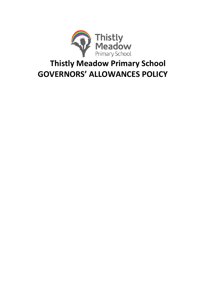

# **Thistly Meadow Primary School GOVERNORS' ALLOWANCES POLICY**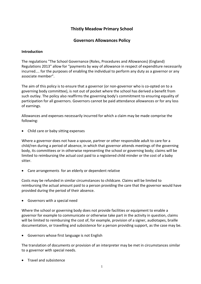## **Thistly Meadow Primary School**

## **Governors Allowances Policy**

#### **Introduction**

The regulations "The School Governance (Roles, Procedures and Allowances) (England) Regulations 2013" allow for "payments by way of allowance in respect of expenditure necessarily incurred.... for the purposes of enabling the individual to perform any duty as a governor or any associate member".

The aim of this policy is to ensure that a governor (or non-governor who is co-opted on to a governing body committee), is not out of pocket where the school has derived a benefit from such outlay. The policy also reaffirms the governing body's commitment to ensuring equality of participation for all governors. Governors cannot be paid attendance allowances or for any loss of earnings.

Allowances and expenses necessarily incurred for which a claim may be made comprise the following:

• Child care or baby sitting expenses

Where a governor does not have a spouse, partner or other responsible adult to care for a child/ren during a period of absence, in which that governor attends meetings of the governing body, its committees or in otherwise representing the school or governing body; claims will be limited to reimbursing the actual cost paid to a registered child minder or the cost of a baby sitter.

Care arrangements for an elderly or dependent relative

Costs may be refunded in similar circumstances to childcare. Claims will be limited to reimbursing the actual amount paid to a person providing the care that the governor would have provided during the period of their absence.

Governors with a special need

Where the school or governing body does not provide facilities or equipment to enable a governor for example to communicate or otherwise take part in the activity in question, claims will be limited to reimbursing the cost of, for example, provision of a signer, audiotapes, braille documentation, or travelling and subsistence for a person providing support, as the case may be.

Governors whose first language is not English

The translation of documents or provision of an interpreter may be met in circumstances similar to a governor with special needs.

• Travel and subsistence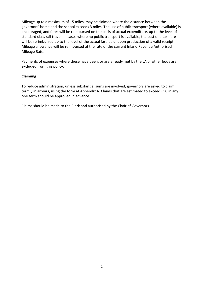Mileage up to a maximum of 15 miles, may be claimed where the distance between the governors' home and the school exceeds 3 miles. The use of public transport (where available) is encouraged, and fares will be reimbursed on the basis of actual expenditure, up to the level of standard class rail travel. In cases where no public transport is available, the cost of a taxi fare will be re-imbursed up to the level of the actual fare paid, upon production of a valid receipt. Mileage allowance will be reimbursed at the rate of the current Inland Revenue Authorised Mileage Rate.

Payments of expenses where these have been, or are already met by the LA or other body are excluded from this policy.

#### **Claiming**

To reduce administration, unless substantial sums are involved, governors are asked to claim termly in arrears, using the form at Appendix A. Claims that are estimated to exceed £50 in any one term should be approved in advance.

Claims should be made to the Clerk and authorised by the Chair of Governors.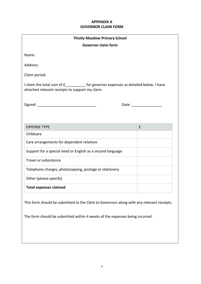### **APPENDIX A GOVERNOR CLAIM FORM**

| <b>Thistly Meadow Primary School</b>                                                                                                                                                                                          |                                                                                                                |  |
|-------------------------------------------------------------------------------------------------------------------------------------------------------------------------------------------------------------------------------|----------------------------------------------------------------------------------------------------------------|--|
| <b>Governor claim form</b>                                                                                                                                                                                                    |                                                                                                                |  |
| Name:                                                                                                                                                                                                                         |                                                                                                                |  |
| Address:                                                                                                                                                                                                                      |                                                                                                                |  |
| Claim period:                                                                                                                                                                                                                 |                                                                                                                |  |
| I claim the total sum of £____________ for governor expenses as detailed below. I have<br>attached relevant receipts to support my claim.                                                                                     |                                                                                                                |  |
| Signed: The Company of the Company of the Company of the Company of the Company of the Company of the Company of the Company of the Company of the Company of the Company of the Company of the Company of the Company of the | Date: and the state of the state of the state of the state of the state of the state of the state of the state |  |
|                                                                                                                                                                                                                               |                                                                                                                |  |
| <b>EXPENSE TYPE</b>                                                                                                                                                                                                           | £                                                                                                              |  |
| Childcare                                                                                                                                                                                                                     |                                                                                                                |  |
| Care arrangements for dependent relatives                                                                                                                                                                                     |                                                                                                                |  |
| Support for a special need or English as a second language                                                                                                                                                                    |                                                                                                                |  |
| Travel or subsistence                                                                                                                                                                                                         |                                                                                                                |  |
| Telephone charges, photocopying, postage or stationery                                                                                                                                                                        |                                                                                                                |  |
| Other (please specify)                                                                                                                                                                                                        |                                                                                                                |  |
| <b>Total expenses claimed</b>                                                                                                                                                                                                 |                                                                                                                |  |
| This form should be submitted to the Clerk to Governors along with any relevant receipts.<br>The form should be submitted within 4 weeks of the expenses being incurred.                                                      |                                                                                                                |  |